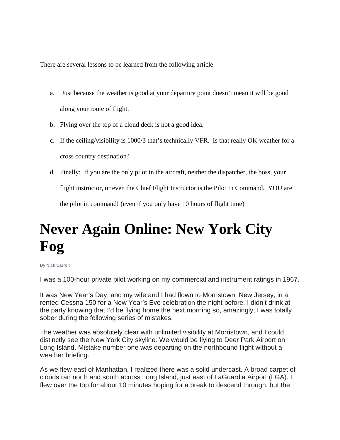There are several lessons to be learned from the following article

- a. Just because the weather is good at your departure point doesn't mean it will be good along your route of flight.
- b. Flying over the top of a cloud deck is not a good idea.
- c. If the ceiling/visibility is 1000/3 that's technically VFR. Is that really OK weather for a cross country destination?
- d. Finally: If you are the only pilot in the aircraft, neither the dispatcher, the boss, your flight instructor, or even the Chief Flight Instructor is the Pilot In Command. YOU are

the pilot in command! (even if you only have 10 hours of flight time)

## **Never Again Online: New York City Fog**

## **By Nick Carroll**

I was a 100-hour private pilot working on my commercial and instrument ratings in 1967.

It was New Year's Day, and my wife and I had flown to Morristown, New Jersey, in a rented Cessna 150 for a New Year's Eve celebration the night before. I didn't drink at the party knowing that I'd be flying home the next morning so, amazingly, I was totally sober during the following series of mistakes.

The weather was absolutely clear with unlimited visibility at Morristown, and I could distinctly see the New York City skyline. We would be flying to Deer Park Airport on Long Island. Mistake number one was departing on the northbound flight without a weather briefing.

As we flew east of Manhattan, I realized there was a solid undercast. A broad carpet of clouds ran north and south across Long Island, just east of LaGuardia Airport (LGA). I flew over the top for about 10 minutes hoping for a break to descend through, but the